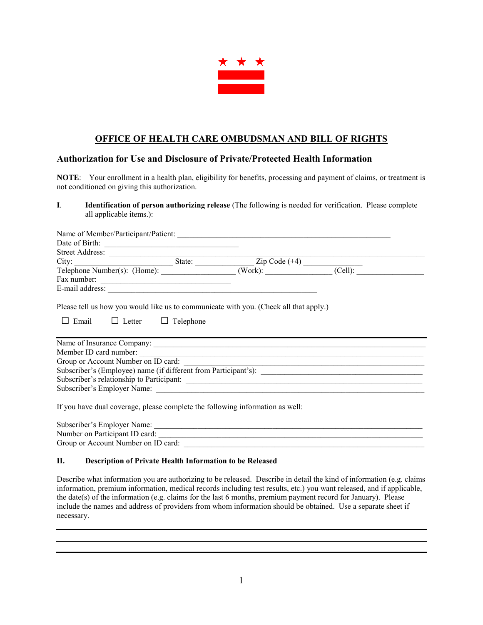

# **OFFICE OF HEALTH CARE OMBUDSMAN AND BILL OF RIGHTS**

## **Authorization for Use and Disclosure of Private/Protected Health Information**

**NOTE**: Your enrollment in a health plan, eligibility for benefits, processing and payment of claims, or treatment is not conditioned on giving this authorization.

**I**. **Identification of person authorizing release** (The following is needed for verification. Please complete all applicable items.):

| Name of Member/Participant/Patient:                                                                                              |  |  |
|----------------------------------------------------------------------------------------------------------------------------------|--|--|
|                                                                                                                                  |  |  |
|                                                                                                                                  |  |  |
|                                                                                                                                  |  |  |
| City:<br>Telephone Number(s): (Home):<br>State:<br>Xip Code (+4)<br>(Cell):<br>(Cell):                                           |  |  |
| Fax number:                                                                                                                      |  |  |
|                                                                                                                                  |  |  |
| Please tell us how you would like us to communicate with you. (Check all that apply.)<br>$\Box$ Letter $\Box$ Telephone<br>Email |  |  |
| Name of Insurance Company:                                                                                                       |  |  |
|                                                                                                                                  |  |  |
| Member ID card number:<br>Group or Account Number on ID card:                                                                    |  |  |
|                                                                                                                                  |  |  |
|                                                                                                                                  |  |  |
|                                                                                                                                  |  |  |
| If you have dual coverage, please complete the following information as well:<br>Cuboquibon's Employee Namo                      |  |  |

| Subscriber's Employer Name:         |  |
|-------------------------------------|--|
| Number on Participant ID card:      |  |
| Group or Account Number on ID card: |  |

## **II. Description of Private Health Information to be Released**

Describe what information you are authorizing to be released. Describe in detail the kind of information (e.g. claims information, premium information, medical records including test results, etc.) you want released, and if applicable, the date(s) of the information (e.g. claims for the last 6 months, premium payment record for January). Please include the names and address of providers from whom information should be obtained. Use a separate sheet if necessary.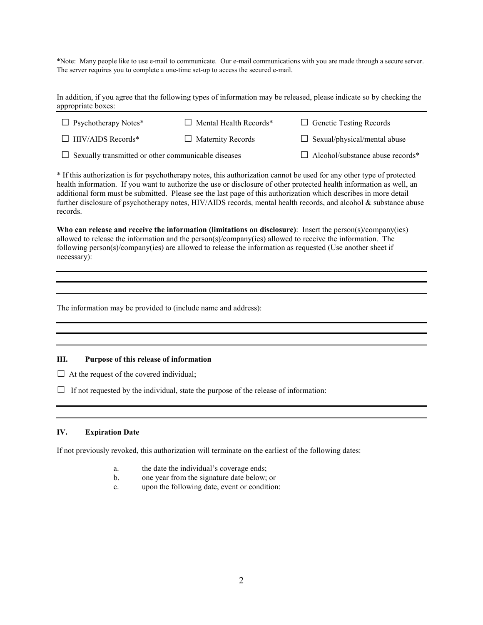\*Note: Many people like to use e-mail to communicate. Our e-mail communications with you are made through a secure server. The server requires you to complete a one-time set-up to access the secured e-mail.

In addition, if you agree that the following types of information may be released, please indicate so by checking the appropriate boxes:

| $\Box$ Psychotherapy Notes* | $\Box$ Mental Health Records* | $\Box$ Genetic Testing Records      |
|-----------------------------|-------------------------------|-------------------------------------|
| $\Box$ HIV/AIDS Records*    | $\Box$ Maternity Records      | $\Box$ Sexual/physical/mental abuse |

□ Sexually transmitted or other communicable diseases □ Alcohol/substance abuse records\*

\* If this authorization is for psychotherapy notes, this authorization cannot be used for any other type of protected health information. If you want to authorize the use or disclosure of other protected health information as well, an additional form must be submitted. Please see the last page of this authorization which describes in more detail further disclosure of psychotherapy notes, HIV/AIDS records, mental health records, and alcohol & substance abuse records.

**Who can release and receive the information (limitations on disclosure)**: Insert the person(s)/company(ies) allowed to release the information and the person(s)/company(ies) allowed to receive the information. The following person(s)/company(ies) are allowed to release the information as requested (Use another sheet if necessary):

The information may be provided to (include name and address):

## **III. Purpose of this release of information**

 $\Box$  At the request of the covered individual;

 $\Box$  If not requested by the individual, state the purpose of the release of information:

## **IV. Expiration Date**

If not previously revoked, this authorization will terminate on the earliest of the following dates:

- a. the date the individual's coverage ends;
- b. one year from the signature date below; or
- c. upon the following date, event or condition: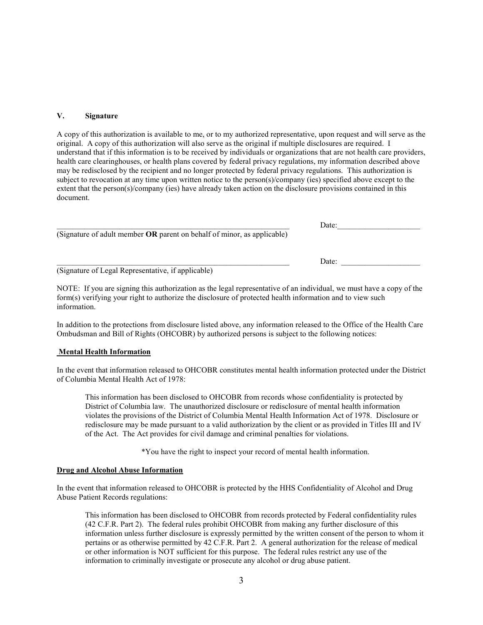#### **V. Signature**

A copy of this authorization is available to me, or to my authorized representative, upon request and will serve as the original. A copy of this authorization will also serve as the original if multiple disclosures are required. I understand that if this information is to be received by individuals or organizations that are not health care providers, health care clearinghouses, or health plans covered by federal privacy regulations, my information described above may be redisclosed by the recipient and no longer protected by federal privacy regulations. This authorization is subject to revocation at any time upon written notice to the person(s)/company (ies) specified above except to the extent that the person(s)/company (ies) have already taken action on the disclosure provisions contained in this document.

|                                                                                | Date: |  |
|--------------------------------------------------------------------------------|-------|--|
| (Signature of adult member <b>OR</b> parent on behalf of minor, as applicable) |       |  |
|                                                                                |       |  |
|                                                                                | Date: |  |
| (Signature of Legal Representative, if applicable)                             |       |  |

NOTE: If you are signing this authorization as the legal representative of an individual, we must have a copy of the form(s) verifying your right to authorize the disclosure of protected health information and to view such information.

In addition to the protections from disclosure listed above, any information released to the Office of the Health Care Ombudsman and Bill of Rights (OHCOBR) by authorized persons is subject to the following notices:

#### **Mental Health Information**

In the event that information released to OHCOBR constitutes mental health information protected under the District of Columbia Mental Health Act of 1978:

This information has been disclosed to OHCOBR from records whose confidentiality is protected by District of Columbia law. The unauthorized disclosure or redisclosure of mental health information violates the provisions of the District of Columbia Mental Health Information Act of 1978. Disclosure or redisclosure may be made pursuant to a valid authorization by the client or as provided in Titles III and IV of the Act. The Act provides for civil damage and criminal penalties for violations.

\*You have the right to inspect your record of mental health information.

#### **Drug and Alcohol Abuse Information**

In the event that information released to OHCOBR is protected by the HHS Confidentiality of Alcohol and Drug Abuse Patient Records regulations:

This information has been disclosed to OHCOBR from records protected by Federal confidentiality rules (42 C.F.R. Part 2). The federal rules prohibit OHCOBR from making any further disclosure of this information unless further disclosure is expressly permitted by the written consent of the person to whom it pertains or as otherwise permitted by 42 C.F.R. Part 2. A general authorization for the release of medical or other information is NOT sufficient for this purpose. The federal rules restrict any use of the information to criminally investigate or prosecute any alcohol or drug abuse patient.